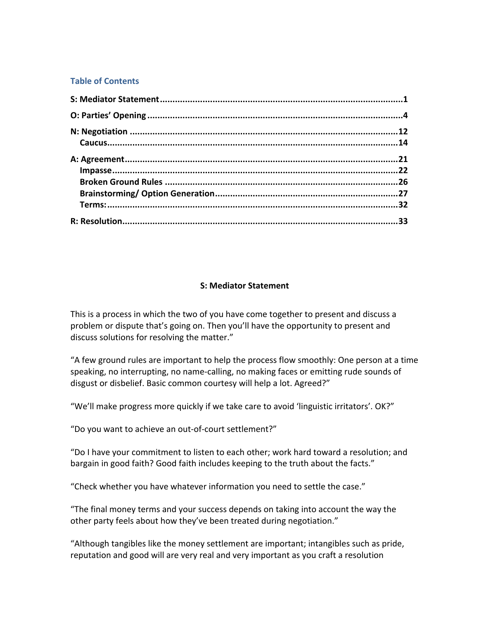#### **Table of Contents**

#### **S: Mediator Statement**

This is a process in which the two of you have come together to present and discuss a problem or dispute that's going on. Then you'll have the opportunity to present and discuss solutions for resolving the matter."

"A few ground rules are important to help the process flow smoothly: One person at a time speaking, no interrupting, no name-calling, no making faces or emitting rude sounds of disgust or disbelief. Basic common courtesy will help a lot. Agreed?"

"We'll make progress more quickly if we take care to avoid 'linguistic irritators'. OK?"

"Do you want to achieve an out-of-court settlement?"

"Do I have your commitment to listen to each other; work hard toward a resolution; and bargain in good faith? Good faith includes keeping to the truth about the facts."

"Check whether you have whatever information you need to settle the case."

"The final money terms and your success depends on taking into account the way the other party feels about how they've been treated during negotiation."

"Although tangibles like the money settlement are important; intangibles such as pride, reputation and good will are very real and very important as you craft a resolution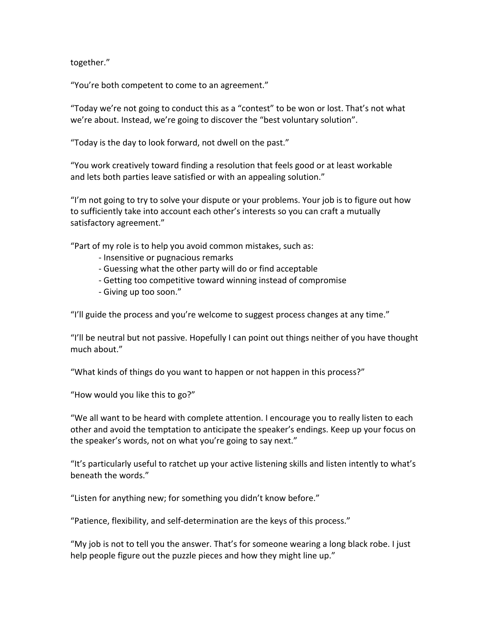together."

"You're both competent to come to an agreement."

"Today we're not going to conduct this as a "contest" to be won or lost. That's not what we're about. Instead, we're going to discover the "best voluntary solution".

"Today is the day to look forward, not dwell on the past."

"You work creatively toward finding a resolution that feels good or at least workable and lets both parties leave satisfied or with an appealing solution."

"I'm not going to try to solve your dispute or your problems. Your job is to figure out how to sufficiently take into account each other's interests so you can craft a mutually satisfactory agreement."

"Part of my role is to help you avoid common mistakes, such as:

- Insensitive or pugnacious remarks
- Guessing what the other party will do or find acceptable
- Getting too competitive toward winning instead of compromise
- Giving up too soon."

"I'll guide the process and you're welcome to suggest process changes at any time."

"I'll be neutral but not passive. Hopefully I can point out things neither of you have thought much about."

"What kinds of things do you want to happen or not happen in this process?"

"How would you like this to go?"

"We all want to be heard with complete attention. I encourage you to really listen to each other and avoid the temptation to anticipate the speaker's endings. Keep up your focus on the speaker's words, not on what you're going to say next."

"It's particularly useful to ratchet up your active listening skills and listen intently to what's beneath the words."

"Listen for anything new; for something you didn't know before."

"Patience, flexibility, and self-determination are the keys of this process."

"My job is not to tell you the answer. That's for someone wearing a long black robe. I just help people figure out the puzzle pieces and how they might line up."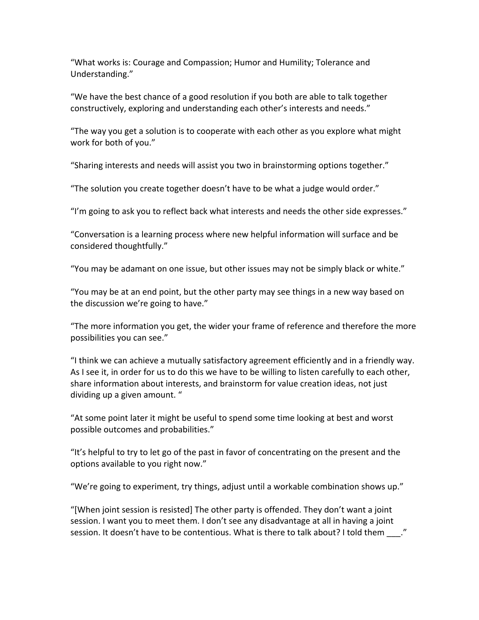"What works is: Courage and Compassion; Humor and Humility; Tolerance and Understanding."

"We have the best chance of a good resolution if you both are able to talk together constructively, exploring and understanding each other's interests and needs."

"The way you get a solution is to cooperate with each other as you explore what might work for both of you."

"Sharing interests and needs will assist you two in brainstorming options together."

"The solution you create together doesn't have to be what a judge would order."

"I'm going to ask you to reflect back what interests and needs the other side expresses."

"Conversation is a learning process where new helpful information will surface and be considered thoughtfully."

"You may be adamant on one issue, but other issues may not be simply black or white."

"You may be at an end point, but the other party may see things in a new way based on the discussion we're going to have."

"The more information you get, the wider your frame of reference and therefore the more possibilities you can see."

"I think we can achieve a mutually satisfactory agreement efficiently and in a friendly way. As I see it, in order for us to do this we have to be willing to listen carefully to each other, share information about interests, and brainstorm for value creation ideas, not just dividing up a given amount. "

"At some point later it might be useful to spend some time looking at best and worst possible outcomes and probabilities."

"It's helpful to try to let go of the past in favor of concentrating on the present and the options available to you right now."

"We're going to experiment, try things, adjust until a workable combination shows up."

"[When joint session is resisted] The other party is offended. They don't want a joint session. I want you to meet them. I don't see any disadvantage at all in having a joint session. It doesn't have to be contentious. What is there to talk about? I told them ..."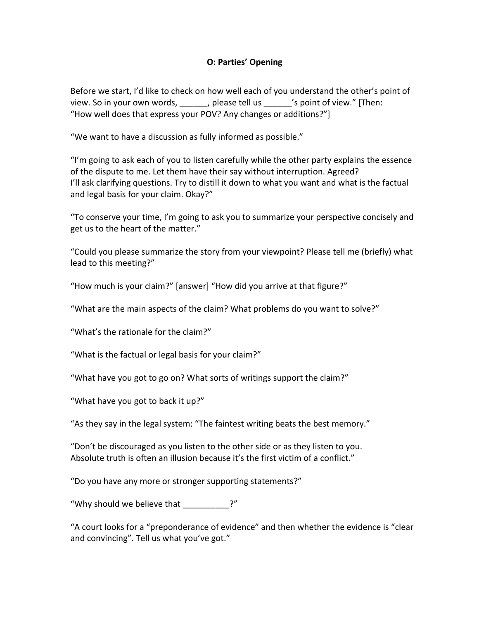### **O: Parties' Opening**

Before we start, I'd like to check on how well each of you understand the other's point of view. So in your own words, helease tell us busing of view." [Then: "How well does that express your POV? Any changes or additions?"]

"We want to have a discussion as fully informed as possible."

"I'm going to ask each of you to listen carefully while the other party explains the essence of the dispute to me. Let them have their say without interruption. Agreed? I'll ask clarifying questions. Try to distill it down to what you want and what is the factual and legal basis for your claim. Okay?"

"To conserve your time, I'm going to ask you to summarize your perspective concisely and get us to the heart of the matter."

"Could you please summarize the story from your viewpoint? Please tell me (briefly) what lead to this meeting?"

"How much is your claim?" [answer] "How did you arrive at that figure?"

"What are the main aspects of the claim? What problems do you want to solve?"

"What's the rationale for the claim?"

"What is the factual or legal basis for your claim?"

"What have you got to go on? What sorts of writings support the claim?"

"What have you got to back it up?"

"As they say in the legal system: "The faintest writing beats the best memory."

"Don't be discouraged as you listen to the other side or as they listen to you. Absolute truth is often an illusion because it's the first victim of a conflict."

"Do you have any more or stronger supporting statements?"

"Why should we believe that  $\frac{1}{2}$ ?"

"A court looks for a "preponderance of evidence" and then whether the evidence is "clear and convincing". Tell us what you've got."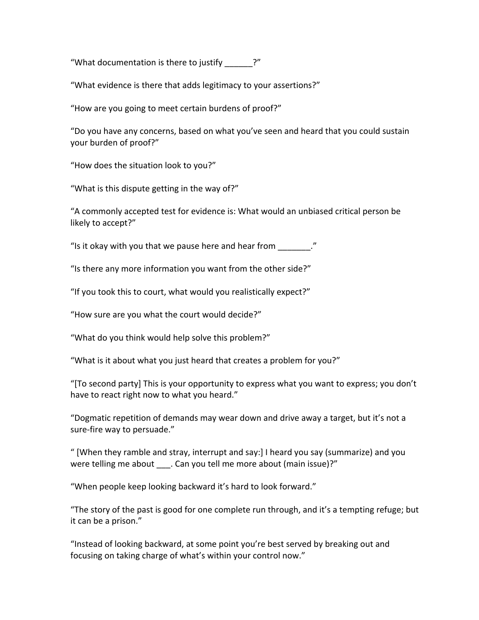"What documentation is there to justify  $\frac{1}{2}$ ?"

"What evidence is there that adds legitimacy to your assertions?"

"How are you going to meet certain burdens of proof?"

"Do you have any concerns, based on what you've seen and heard that you could sustain your burden of proof?"

"How does the situation look to you?"

"What is this dispute getting in the way of?"

"A commonly accepted test for evidence is: What would an unbiased critical person be likely to accept?"

"Is it okay with you that we pause here and hear from  $\mathcal{L}$ ."

"Is there any more information you want from the other side?"

"If you took this to court, what would you realistically expect?"

"How sure are you what the court would decide?"

"What do you think would help solve this problem?"

"What is it about what you just heard that creates a problem for you?"

"[To second party] This is your opportunity to express what you want to express; you don't have to react right now to what you heard."

"Dogmatic repetition of demands may wear down and drive away a target, but it's not a sure-fire way to persuade."

" [When they ramble and stray, interrupt and say:] I heard you say (summarize) and you were telling me about . Can you tell me more about (main issue)?"

"When people keep looking backward it's hard to look forward."

"The story of the past is good for one complete run through, and it's a tempting refuge; but it can be a prison."

"Instead of looking backward, at some point you're best served by breaking out and focusing on taking charge of what's within your control now."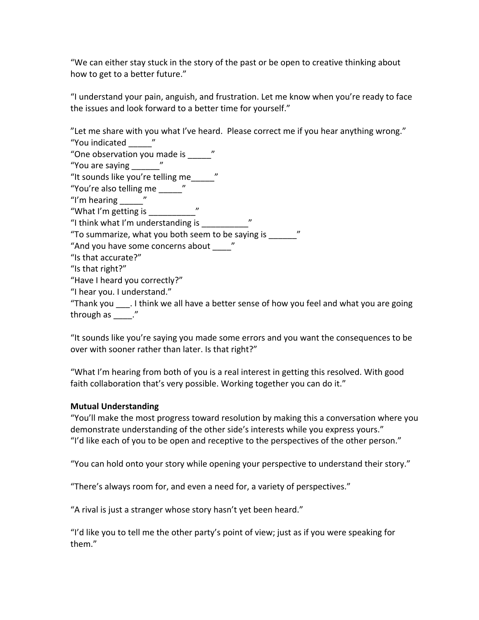"We can either stay stuck in the story of the past or be open to creative thinking about how to get to a better future."

"I understand your pain, anguish, and frustration. Let me know when you're ready to face the issues and look forward to a better time for yourself."

"Let me share with you what I've heard. Please correct me if you hear anything wrong." "You indicated " "One observation you made is "

"You are saying  $\frac{1}{2}$ "

"It sounds like you're telling me

"You're also telling me "

"I'm hearing  $\blacksquare$ "

"What I'm getting is \_\_\_\_\_\_\_\_\_"

"I think what I'm understanding is  $\frac{1}{\sqrt{2\pi}}$  "

"To summarize, what you both seem to be saying is  $\frac{1}{2}$ "

"And you have some concerns about "

"Is that accurate?"

"Is that right?"

"Have I heard you correctly?"

"I hear you. I understand."

"Thank you Ithink we all have a better sense of how you feel and what you are going through as  $\mathcal{L}$ "

"It sounds like you're saying you made some errors and you want the consequences to be over with sooner rather than later. Is that right?"

"What I'm hearing from both of you is a real interest in getting this resolved. With good faith collaboration that's very possible. Working together you can do it."

## **Mutual Understanding**

"You'll make the most progress toward resolution by making this a conversation where you demonstrate understanding of the other side's interests while you express yours." "I'd like each of you to be open and receptive to the perspectives of the other person."

"You can hold onto your story while opening your perspective to understand their story."

"There's always room for, and even a need for, a variety of perspectives."

"A rival is just a stranger whose story hasn't yet been heard."

"I'd like you to tell me the other party's point of view; just as if you were speaking for them."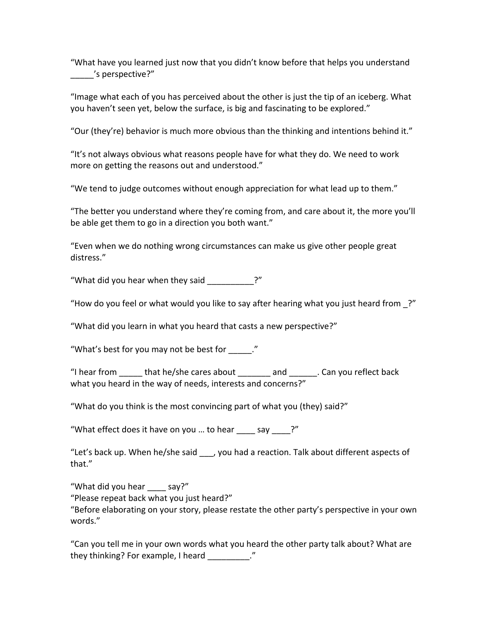"What have you learned just now that you didn't know before that helps you understand \_\_\_\_\_'s!perspective?"

"Image what each of you has perceived about the other is just the tip of an iceberg. What you haven't seen yet, below the surface, is big and fascinating to be explored."

"Our (they're) behavior is much more obvious than the thinking and intentions behind it."

"It's not always obvious what reasons people have for what they do. We need to work more on getting the reasons out and understood."

"We tend to judge outcomes without enough appreciation for what lead up to them."

"The better you understand where they're coming from, and care about it, the more you'll be able get them to go in a direction you both want."

"Even when we do nothing wrong circumstances can make us give other people great distress."

"What did you hear when they said  $\frac{1}{2}$  ?"

"How do you feel or what would you like to say after hearing what you just heard from ?"

"What did you learn in what you heard that casts a new perspective?"

"What's best for you may not be best for  $\blacksquare$ "

"I hear from \_\_\_\_\_\_ that he/she cares about \_\_\_\_\_\_\_ and \_\_\_\_\_\_. Can you reflect back what you heard in the way of needs, interests and concerns?"

"What do you think is the most convincing part of what you (they) said?"

"What effect does it have on you ... to hear  $\frac{1}{\sqrt{2}}$  say  $\frac{1}{\sqrt{2}}$  ?"

"Let's back up. When he/she said \_\_\_, you had a reaction. Talk about different aspects of that."

"What did you hear say?" "Please repeat back what you just heard?" "Before elaborating on your story, please restate the other party's perspective in your own words."

"Can you tell me in your own words what you heard the other party talk about? What are they thinking? For example, I heard \_\_\_\_\_\_\_\_\_\_."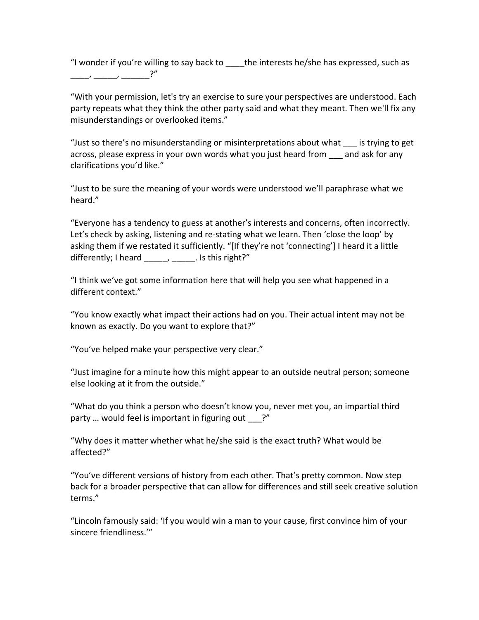"I wonder if you're willing to say back to  $_$  the interests he/she has expressed, such as \_\_\_\_,!\_\_\_\_\_,!\_\_\_\_\_\_?"

"With your permission, let's try an exercise to sure your perspectives are understood. Each party repeats what they think the other party said and what they meant. Then we'll fix any misunderstandings or overlooked items."

"Just so there's no misunderstanding or misinterpretations about what is trying to get across, please express in your own words what you just heard from and ask for any clarifications you'd like."

"Just to be sure the meaning of your words were understood we'll paraphrase what we heard."

"Everyone has a tendency to guess at another's interests and concerns, often incorrectly. Let's check by asking, listening and re-stating what we learn. Then 'close the loop' by asking them if we restated it sufficiently. "[If they're not 'connecting'] I heard it a little differently; I heard  $\frac{1}{\sqrt{2}}$ ,  $\frac{1}{\sqrt{2}}$ . Is this right?"

"I think we've got some information here that will help you see what happened in a different context."

"You know exactly what impact their actions had on you. Their actual intent may not be known as exactly. Do you want to explore that?"

"You've helped make your perspective very clear."

"Just imagine for a minute how this might appear to an outside neutral person; someone else looking at it from the outside."

"What do you think a person who doesn't know you, never met you, an impartial third party ... would feel is important in figuring out ?"

"Why does it matter whether what he/she said is the exact truth? What would be affected?"

"You've different versions of history from each other. That's pretty common. Now step back for a broader perspective that can allow for differences and still seek creative solution terms."

"Lincoln famously said: 'If you would win a man to your cause, first convince him of your sincere friendliness."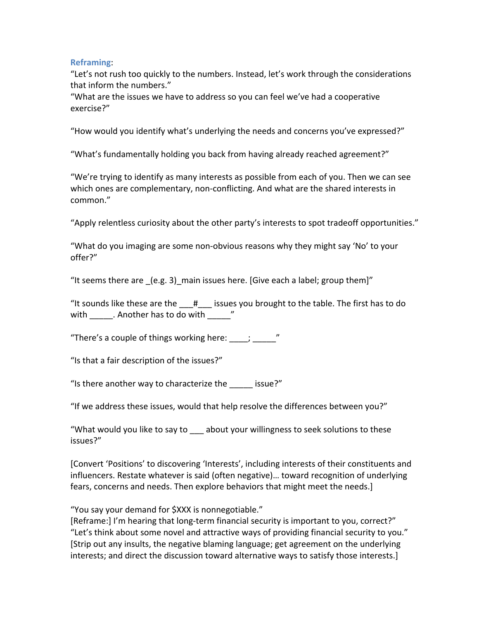## **Reframing**:!

"Let's not rush too quickly to the numbers. Instead, let's work through the considerations that inform the numbers."

"What are the issues we have to address so you can feel we've had a cooperative exercise?"

"How would you identify what's underlying the needs and concerns you've expressed?"

"What's fundamentally holding you back from having already reached agreement?"

"We're trying to identify as many interests as possible from each of you. Then we can see which ones are complementary, non-conflicting. And what are the shared interests in common."

"Apply relentless curiosity about the other party's interests to spot tradeoff opportunities."

"What do you imaging are some non-obvious reasons why they might say 'No' to your offer?"

"It seems there are  $(e.g. 3)$  main issues here. [Give each a label; group them]"

"It sounds like these are the  $H$  issues you brought to the table. The first has to do with . Another has to do with  $\sim$ 

"There's a couple of things working here:  $\frac{1}{2}$  ,  $\frac{1}{2}$ 

"Is that a fair description of the issues?"

"Is there another way to characterize the  $\qquad$  issue?"

"If we address these issues, would that help resolve the differences between you?"

"What would you like to say to \_\_\_\_ about your willingness to seek solutions to these issues?"

[Convert 'Positions' to discovering 'Interests', including interests of their constituents and influencers. Restate whatever is said (often negative)... toward recognition of underlying fears, concerns and needs. Then explore behaviors that might meet the needs.]

"You say your demand for \$XXX is nonnegotiable."

[Reframe:] I'm hearing that long-term financial security is important to you, correct?" "Let's think about some novel and attractive ways of providing financial security to you." [Strip out any insults, the negative blaming language; get agreement on the underlying interests; and direct the discussion toward alternative ways to satisfy those interests.]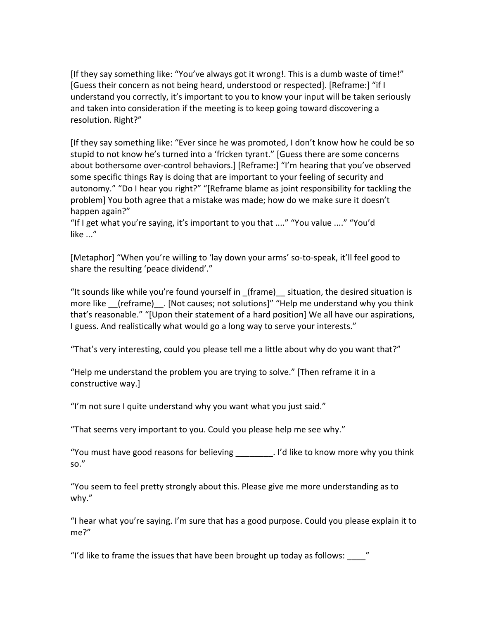[If they say something like: "You've always got it wrong!. This is a dumb waste of time!" [Guess their concern as not being heard, understood or respected]. [Reframe:] "if I understand you correctly, it's important to you to know your input will be taken seriously and taken into consideration if the meeting is to keep going toward discovering a resolution. Right?"

[If they say something like: "Ever since he was promoted, I don't know how he could be so stupid to not know he's turned into a 'fricken tyrant." [Guess there are some concerns about bothersome over-control behaviors.] [Reframe:] "I'm hearing that you've observed some specific things Ray is doing that are important to your feeling of security and autonomy." "Do I hear you right?" "[Reframe blame as joint responsibility for tackling the problem] You both agree that a mistake was made; how do we make sure it doesn't happen again?"

"If I get what you're saying, it's important to you that ...." "You value ...." "You'd like  $\ldots$ "

[Metaphor] "When you're willing to 'lay down your arms' so-to-speak, it'll feel good to share the resulting 'peace dividend'."

"It sounds like while you're found yourself in  $(frame)$  situation, the desired situation is more like (reframe) . [Not causes; not solutions]" "Help me understand why you think that's reasonable." "[Upon their statement of a hard position] We all have our aspirations, I guess. And realistically what would go a long way to serve your interests."

"That's very interesting, could you please tell me a little about why do you want that?"

"Help me understand the problem you are trying to solve." [Then reframe it in a constructive way.]

"I'm not sure I quite understand why you want what you just said."

"That seems very important to you. Could you please help me see why."

"You must have good reasons for believing \_\_\_\_\_\_\_\_. I'd like to know more why you think so."

"You seem to feel pretty strongly about this. Please give me more understanding as to why."

"I hear what you're saying. I'm sure that has a good purpose. Could you please explain it to me?"

"I'd like to frame the issues that have been brought up today as follows:  $\blacksquare$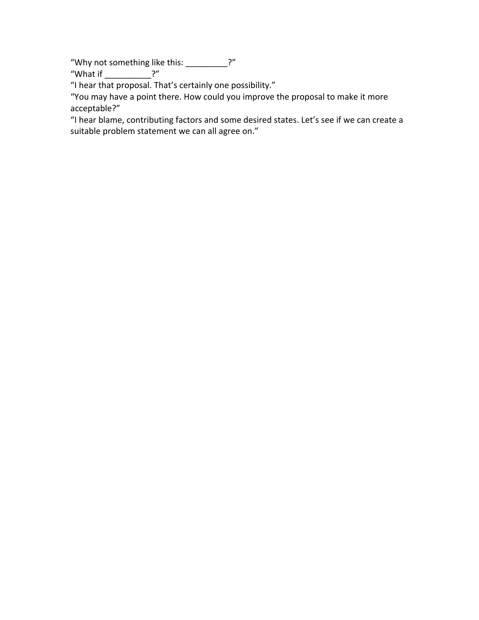"Why not something like this: \_\_\_\_\_\_\_\_\_?"

"What if  $?$ "

"I hear that proposal. That's certainly one possibility."

"You may have a point there. How could you improve the proposal to make it more acceptable?"

"I hear blame, contributing factors and some desired states. Let's see if we can create a suitable problem statement we can all agree on."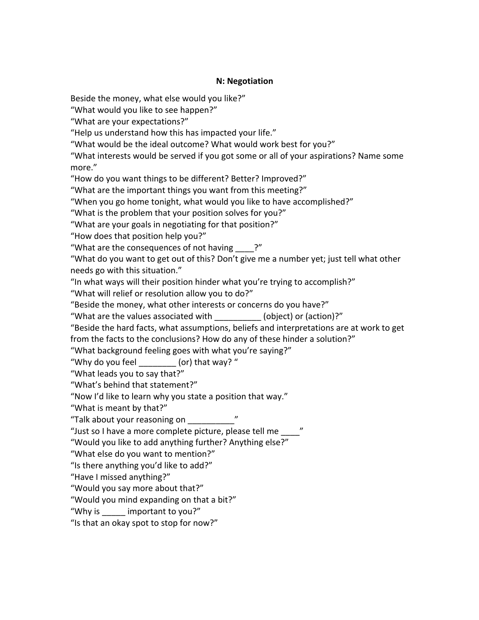### **N: Negotiation**

Beside the money, what else would you like?"

"What would you like to see happen?"

"What are your expectations?"

"Help us understand how this has impacted your life."

"What would be the ideal outcome? What would work best for you?"

"What interests would be served if you got some or all of your aspirations? Name some more."

"How do you want things to be different? Better? Improved?"

"What are the important things you want from this meeting?"

"When you go home tonight, what would you like to have accomplished?"

"What is the problem that your position solves for you?"

"What are your goals in negotiating for that position?"

"How does that position help you?"

"What are the consequences of not having  $\cdot$ ?"

"What do you want to get out of this? Don't give me a number yet; just tell what other needs go with this situation."

"In what ways will their position hinder what you're trying to accomplish?"

"What will relief or resolution allow you to do?"

"Beside the money, what other interests or concerns do you have?"

"What are the values associated with (object) or (action)?"

"Beside the hard facts, what assumptions, beliefs and interpretations are at work to get from the facts to the conclusions? How do any of these hinder a solution?"

"What background feeling goes with what you're saying?"

"Why do you feel  $\qquad$  (or) that way?"

"What leads you to say that?"

"What's behind that statement?"

"Now I'd like to learn why you state a position that way."

"What is meant by that?"

"Talk about your reasoning on

"Just so I have a more complete picture, please tell me

"Would you like to add anything further? Anything else?"

"What else do you want to mention?"

"Is there anything you'd like to add?"

"Have I missed anything?"

"Would you say more about that?"

"Would you mind expanding on that a bit?"

"Why is important to you?"

"Is that an okay spot to stop for now?"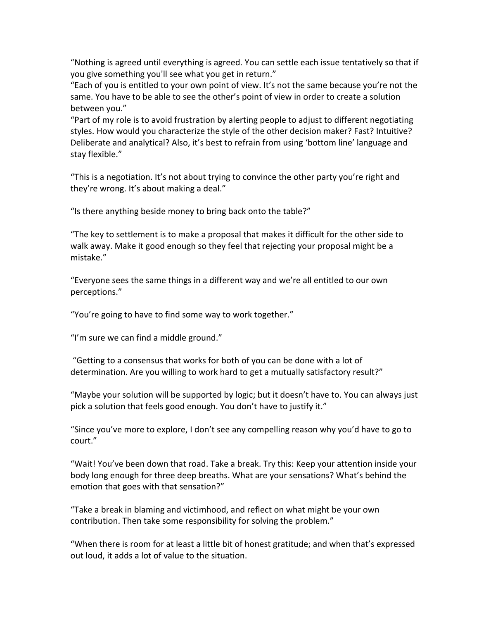"Nothing is agreed until everything is agreed. You can settle each issue tentatively so that if you give something you'll see what you get in return."

"Each of you is entitled to your own point of view. It's not the same because you're not the same. You have to be able to see the other's point of view in order to create a solution between you."

"Part of my role is to avoid frustration by alerting people to adjust to different negotiating styles. How would you characterize the style of the other decision maker? Fast? Intuitive? Deliberate and analytical? Also, it's best to refrain from using 'bottom line' language and stay flexible."

"This is a negotiation. It's not about trying to convince the other party you're right and they're wrong. It's about making a deal."

"Is there anything beside money to bring back onto the table?"

"The key to settlement is to make a proposal that makes it difficult for the other side to walk away. Make it good enough so they feel that rejecting your proposal might be a mistake."

"Everyone sees the same things in a different way and we're all entitled to our own perceptions."

"You're going to have to find some way to work together."

"I'm sure we can find a middle ground."

"Getting to a consensus that works for both of you can be done with a lot of determination. Are you willing to work hard to get a mutually satisfactory result?"

"Maybe your solution will be supported by logic; but it doesn't have to. You can always just pick a solution that feels good enough. You don't have to justify it."

"Since you've more to explore, I don't see any compelling reason why you'd have to go to court."

"Wait! You've been down that road. Take a break. Try this: Keep your attention inside your body long enough for three deep breaths. What are your sensations? What's behind the emotion that goes with that sensation?"

"Take a break in blaming and victimhood, and reflect on what might be your own contribution. Then take some responsibility for solving the problem."

"When there is room for at least a little bit of honest gratitude; and when that's expressed out loud, it adds a lot of value to the situation.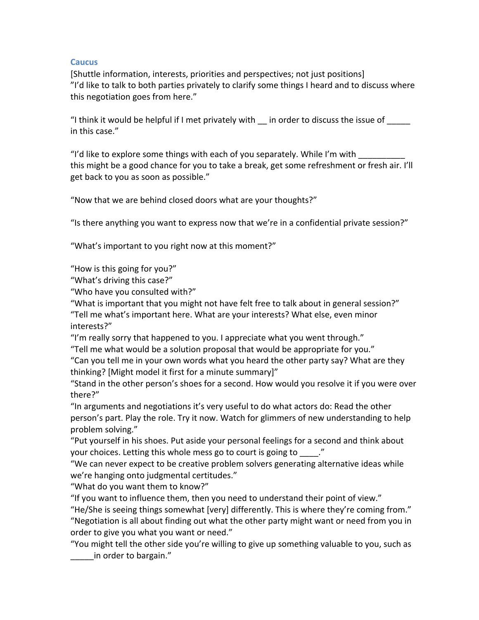### **Caucus**

[Shuttle information, interests, priorities and perspectives; not just positions] "I'd like to talk to both parties privately to clarify some things I heard and to discuss where this negotiation goes from here."

"I think it would be helpful if I met privately with  $\quad$  in order to discuss the issue of in this case."

"I'd like to explore some things with each of you separately. While I'm with \_\_\_\_ this might be a good chance for you to take a break, get some refreshment or fresh air. I'll get back to you as soon as possible."

"Now that we are behind closed doors what are your thoughts?"

"Is there anything you want to express now that we're in a confidential private session?"

"What's important to you right now at this moment?"

"How is this going for you?"

"What's driving this case?"

"Who have you consulted with?"

"What is important that you might not have felt free to talk about in general session?" "Tell me what's important here. What are your interests? What else, even minor interests?"

"I'm really sorry that happened to you. I appreciate what you went through."

"Tell me what would be a solution proposal that would be appropriate for you."

"Can you tell me in your own words what you heard the other party say? What are they thinking? [Might model it first for a minute summary]"

"Stand in the other person's shoes for a second. How would you resolve it if you were over there?"

"In arguments and negotiations it's very useful to do what actors do: Read the other person's part. Play the role. Try it now. Watch for glimmers of new understanding to help problem solving."

"Put yourself in his shoes. Put aside your personal feelings for a second and think about your choices. Letting this whole mess go to court is going to  $\ldots$ ."

"We can never expect to be creative problem solvers generating alternative ideas while we're hanging onto judgmental certitudes."

"What do you want them to know?"

"If you want to influence them, then you need to understand their point of view."

"He/She is seeing things somewhat [very] differently. This is where they're coming from." "Negotiation is all about finding out what the other party might want or need from you in order to give you what you want or need."

"You might tell the other side you're willing to give up something valuable to you, such as in order to bargain."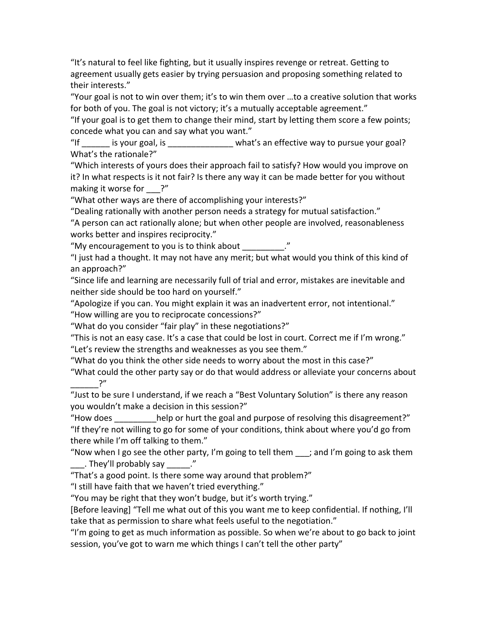"It's natural to feel like fighting, but it usually inspires revenge or retreat. Getting to agreement usually gets easier by trying persuasion and proposing something related to their interests."

"Your goal is not to win over them; it's to win them over ...to a creative solution that works for both of you. The goal is not victory; it's a mutually acceptable agreement."

"If your goal is to get them to change their mind, start by letting them score a few points; concede what you can and say what you want."

"If example is your goal, is example that what's an effective way to pursue your goal? What's the rationale?"

"Which interests of yours does their approach fail to satisfy? How would you improve on it? In what respects is it not fair? Is there any way it can be made better for you without making it worse for  $?''$ 

"What other ways are there of accomplishing your interests?"

"Dealing rationally with another person needs a strategy for mutual satisfaction."

"A person can act rationally alone; but when other people are involved, reasonableness works better and inspires reciprocity."

"My encouragement to you is to think about "

"I just had a thought. It may not have any merit; but what would you think of this kind of an approach?"

"Since life and learning are necessarily full of trial and error, mistakes are inevitable and neither side should be too hard on yourself."

"Apologize if you can. You might explain it was an inadvertent error, not intentional." "How willing are you to reciprocate concessions?"

"What do you consider "fair play" in these negotiations?"

"This is not an easy case. It's a case that could be lost in court. Correct me if I'm wrong." "Let's review the strengths and weaknesses as you see them."

"What do you think the other side needs to worry about the most in this case?"

"What could the other party say or do that would address or alleviate your concerns about  $\gamma''$ 

"Just to be sure I understand, if we reach a "Best Voluntary Solution" is there any reason you wouldn't make a decision in this session?"

"How does help or hurt the goal and purpose of resolving this disagreement?" "If they're not willing to go for some of your conditions, think about where you'd go from there while I'm off talking to them."

"Now when I go see the other party, I'm going to tell them  $\_\_$ ; and I'm going to ask them  $\frac{1}{2}$ . They'll probably say  $\frac{1}{2}$ .

"That's a good point. Is there some way around that problem?"

"I still have faith that we haven't tried everything."

"You may be right that they won't budge, but it's worth trying."

[Before leaving] "Tell me what out of this you want me to keep confidential. If nothing, I'll take that as permission to share what feels useful to the negotiation."

"I'm going to get as much information as possible. So when we're about to go back to joint session, you've got to warn me which things I can't tell the other party"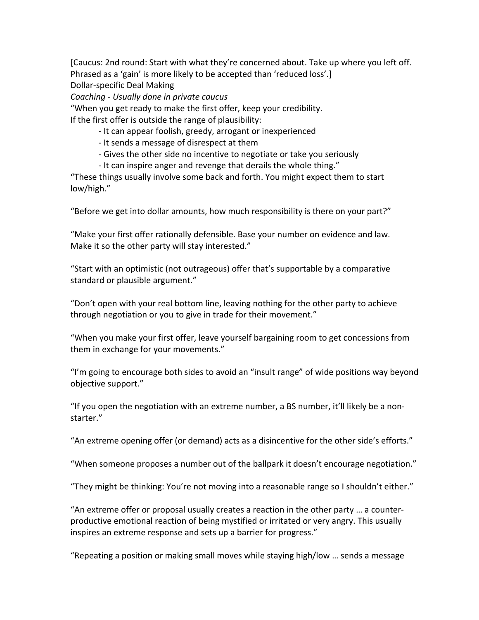[Caucus: 2nd round: Start with what they're concerned about. Take up where you left off. Phrased as a 'gain' is more likely to be accepted than 'reduced loss'.]

Dollar-specific Deal Making

*Coaching)\*)Usually)done)in)private)caucus*

"When you get ready to make the first offer, keep your credibility. If the first offer is outside the range of plausibility:

- It can appear foolish, greedy, arrogant or inexperienced
- It sends a message of disrespect at them
- Gives the other side no incentive to negotiate or take you seriously
- It can inspire anger and revenge that derails the whole thing."

"These things usually involve some back and forth. You might expect them to start low/high."

"Before we get into dollar amounts, how much responsibility is there on your part?"

"Make your first offer rationally defensible. Base your number on evidence and law. Make it so the other party will stay interested."

"Start with an optimistic (not outrageous) offer that's supportable by a comparative standard or plausible argument."

"Don't open with your real bottom line, leaving nothing for the other party to achieve through negotiation or you to give in trade for their movement."

"When you make your first offer, leave yourself bargaining room to get concessions from them in exchange for your movements."

"I'm going to encourage both sides to avoid an "insult range" of wide positions way beyond objective support."

"If you open the negotiation with an extreme number, a BS number, it'll likely be a nonstarter."

"An extreme opening offer (or demand) acts as a disincentive for the other side's efforts."

"When someone proposes a number out of the ballpark it doesn't encourage negotiation."

"They might be thinking: You're not moving into a reasonable range so I shouldn't either."

"An extreme offer or proposal usually creates a reaction in the other party ... a counterproductive emotional reaction of being mystified or irritated or very angry. This usually inspires an extreme response and sets up a barrier for progress."

"Repeating a position or making small moves while staying high/low ... sends a message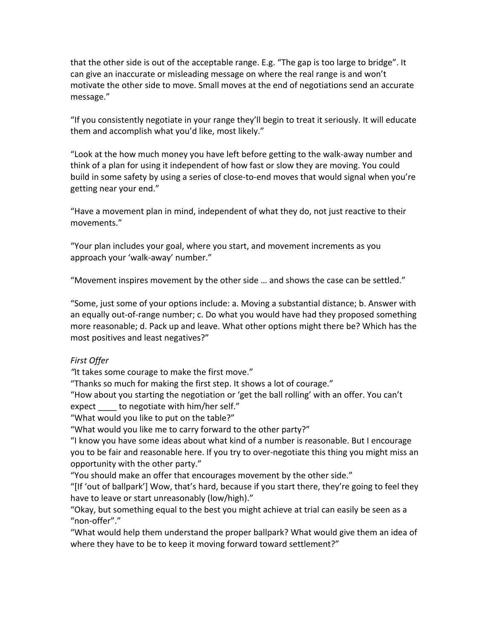that the other side is out of the acceptable range. E.g. "The gap is too large to bridge". It can give an inaccurate or misleading message on where the real range is and won't motivate the other side to move. Small moves at the end of negotiations send an accurate message."

"If you consistently negotiate in your range they'll begin to treat it seriously. It will educate them and accomplish what you'd like, most likely."

"Look at the how much money you have left before getting to the walk-away number and think of a plan for using it independent of how fast or slow they are moving. You could build in some safety by using a series of close-to-end moves that would signal when you're getting near your end."

"Have a movement plan in mind, independent of what they do, not just reactive to their movements."

"Your plan includes your goal, where you start, and movement increments as you approach your 'walk-away' number."

"Movement inspires movement by the other side  $\ldots$  and shows the case can be settled."

"Some, just some of your options include: a. Moving a substantial distance; b. Answer with an equally out-of-range number; c. Do what you would have had they proposed something more reasonable; d. Pack up and leave. What other options might there be? Which has the most positives and least negatives?"

## *First)Offer*

"It takes some courage to make the first move."

"Thanks so much for making the first step. It shows a lot of courage."

"How about you starting the negotiation or 'get the ball rolling' with an offer. You can't expect to negotiate with him/her self."

"What would you like to put on the table?"

"What would you like me to carry forward to the other party?"

"I know you have some ideas about what kind of a number is reasonable. But I encourage you to be fair and reasonable here. If you try to over-negotiate this thing you might miss an opportunity with the other party."

"You should make an offer that encourages movement by the other side."

"[If 'out of ballpark'] Wow, that's hard, because if you start there, they're going to feel they have to leave or start unreasonably (low/high)."

"Okay, but something equal to the best you might achieve at trial can easily be seen as a "non-offer"."

"What would help them understand the proper ballpark? What would give them an idea of where they have to be to keep it moving forward toward settlement?"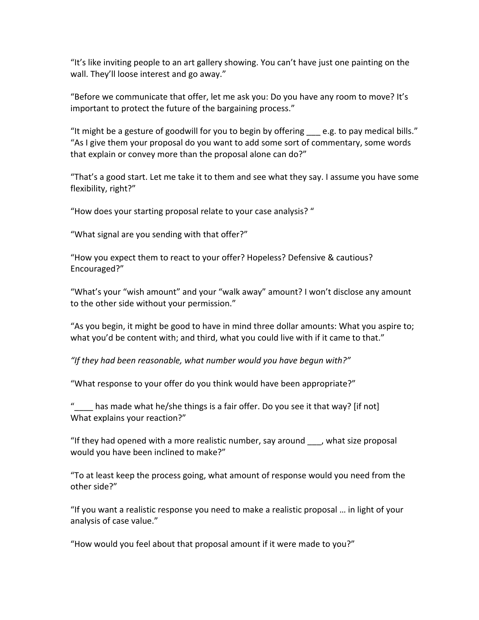"It's like inviting people to an art gallery showing. You can't have just one painting on the wall. They'll loose interest and go away."

"Before we communicate that offer, let me ask you: Do you have any room to move? It's important to protect the future of the bargaining process."

"It might be a gesture of goodwill for you to begin by offering  $\_\_$ e.g. to pay medical bills." "As I give them your proposal do you want to add some sort of commentary, some words that explain or convey more than the proposal alone can do?"

"That's a good start. Let me take it to them and see what they say. I assume you have some flexibility, right?"

"How does your starting proposal relate to your case analysis? "

"What signal are you sending with that offer?"

"How you expect them to react to your offer? Hopeless? Defensive & cautious? Encouraged?"

"What's your "wish amount" and your "walk away" amount? I won't disclose any amount to the other side without your permission."

"As you begin, it might be good to have in mind three dollar amounts: What you aspire to; what you'd be content with; and third, what you could live with if it came to that."

"If they had been reasonable, what number would you have begun with?"

"What response to your offer do you think would have been appropriate?"

" has made what he/she things is a fair offer. Do you see it that way? [if not] What explains your reaction?"

"If they had opened with a more realistic number, say around  $\blacksquare$ , what size proposal would you have been inclined to make?"

"To at least keep the process going, what amount of response would you need from the other side?"

"If you want a realistic response you need to make a realistic proposal ... in light of your analysis of case value."

"How would you feel about that proposal amount if it were made to you?"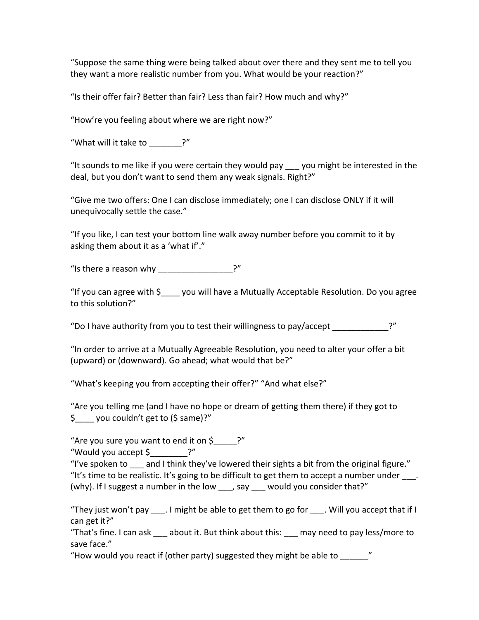"Suppose the same thing were being talked about over there and they sent me to tell you they want a more realistic number from you. What would be your reaction?"

"Is their offer fair? Better than fair? Less than fair? How much and why?"

"How're you feeling about where we are right now?"

"What will it take to  $?''$ 

"It sounds to me like if you were certain they would pay you might be interested in the deal, but you don't want to send them any weak signals. Right?"

"Give me two offers: One I can disclose immediately; one I can disclose ONLY if it will unequivocally settle the case."

"If you like, I can test your bottom line walk away number before you commit to it by asking them about it as a 'what if'."

"Is there a reason why  $?$ "

"If you can agree with  $\sin 2\theta$  you will have a Mutually Acceptable Resolution. Do you agree to this solution?"

"Do I have authority from you to test their willingness to pay/accept ?"

"In order to arrive at a Mutually Agreeable Resolution, you need to alter your offer a bit (upward) or (downward). Go ahead; what would that be?"

"What's keeping you from accepting their offer?" "And what else?"

"Are you telling me (and I have no hope or dream of getting them there) if they got to  $\sin(2\theta)$  you couldn't get to (\$ same)?"

"Are you sure you want to end it on  $\sin 2\theta$ 

"Would you accept  $$^$ . ?"

"I've spoken to and I think they've lowered their sights a bit from the original figure." "It's time to be realistic. It's going to be difficult to get them to accept a number under  $\blacksquare$ . (why). If I suggest a number in the low , say would you consider that?"

"They just won't pay . I might be able to get them to go for . Will you accept that if I can get it?"

"That's fine. I can ask about it. But think about this: may need to pay less/more to save face."

"How would you react if (other party) suggested they might be able to  $\hspace{2cm}$  "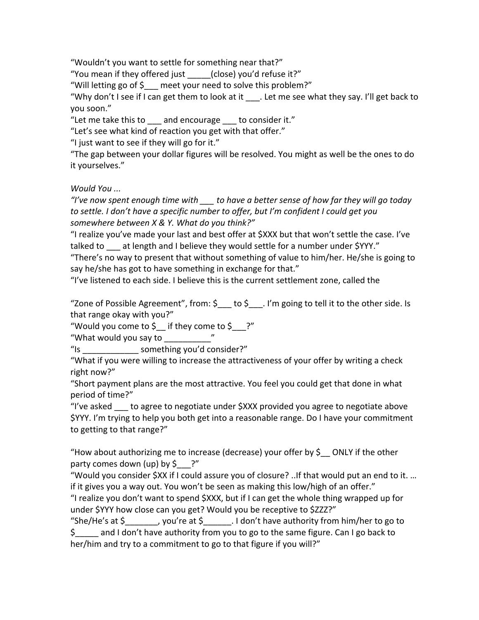"Wouldn't you want to settle for something near that?"

"You mean if they offered just (close) you'd refuse it?"

"Will letting go of  $$_$  meet your need to solve this problem?"

"Why don't I see if I can get them to look at it . Let me see what they say. I'll get back to you!soon."

"Let me take this to and encourage to consider it."

"Let's see what kind of reaction you get with that offer."

"I just want to see if they will go for it."

"The gap between your dollar figures will be resolved. You might as well be the ones to do it yourselves."

*Would)You)...*

*"I've)now)spent)enough)time)with)\_\_\_)to)have)a)better)sense)of)how)far)they)will)go today) to)settle.)I)don't)have)a)specific)number)to)offer,)but)I'm)confident)I)could)get you)* somewhere between  $X \& Y$ . What do you think?"

"I realize you've made your last and best offer at \$XXX but that won't settle the case. I've talked to at length and I believe they would settle for a number under \$YYY."

"There's no way to present that without something of value to him/her. He/she is going to say he/she has got to have something in exchange for that."

"I've listened to each side. I believe this is the current settlement zone, called the

"Zone of Possible Agreement", from:  $\sin \theta$  to  $\sin \theta$  . I'm going to tell it to the other side. Is that range okay with you?"

"Would you come to  $\oint$  if they come to  $\oint$  ?"

"What would you say to "

"Is extended to some thing you'd consider?"

"What if you were willing to increase the attractiveness of your offer by writing a check right now?"

"Short payment plans are the most attractive. You feel you could get that done in what period of time?"

"I've asked  $\blacksquare$  to agree to negotiate under  $SXXX$  provided you agree to negotiate above \$YYY. I'm trying to help you both get into a reasonable range. Do I have your commitment to getting to that range?"

"How about authorizing me to increase (decrease) your offer by  $\oint$  ONLY if the other party comes down (up) by  $\oint$  ?"

"Would you consider \$XX if I could assure you of closure? ..If that would put an end to it. ... if it gives you a way out. You won't be seen as making this low/high of an offer."

"I realize you don't want to spend \$XXX, but if I can get the whole thing wrapped up for under \$YYY how close can you get? Would you be receptive to \$ZZZ?"

"She/He's at  $\sin \theta$  , you're at  $\sin \theta$ . I don't have authority from him/her to go to  $\sin \theta$  and I don't have authority from you to go to the same figure. Can I go back to her/him and try to a commitment to go to that figure if you will?"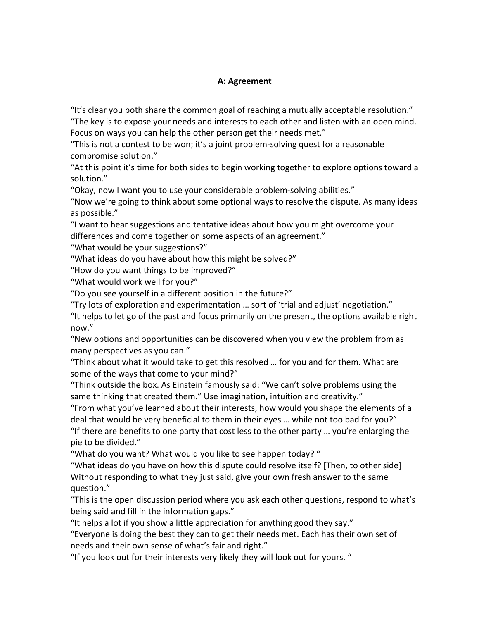### **A: Agreement**

"It's clear you both share the common goal of reaching a mutually acceptable resolution."

"The key is to expose your needs and interests to each other and listen with an open mind. Focus on ways you can help the other person get their needs met."

"This is not a contest to be won; it's a joint problem-solving quest for a reasonable compromise solution."

"At this point it's time for both sides to begin working together to explore options toward a solution."

"Okay, now I want you to use your considerable problem-solving abilities."

"Now we're going to think about some optional ways to resolve the dispute. As many ideas as possible."

"I want to hear suggestions and tentative ideas about how you might overcome your differences and come together on some aspects of an agreement."

"What would be your suggestions?"

"What ideas do you have about how this might be solved?"

"How do you want things to be improved?"

"What would work well for you?"

"Do you see yourself in a different position in the future?"

"Try lots of exploration and experimentation ... sort of 'trial and adjust' negotiation."

"It helps to let go of the past and focus primarily on the present, the options available right now."

"New options and opportunities can be discovered when you view the problem from as many perspectives as you can."

"Think about what it would take to get this resolved ... for you and for them. What are some of the ways that come to your mind?"

"Think outside the box. As Einstein famously said: "We can't solve problems using the same thinking that created them." Use imagination, intuition and creativity."

"From what you've learned about their interests, how would you shape the elements of a deal that would be very beneficial to them in their eyes ... while not too bad for you?" "If there are benefits to one party that cost less to the other party … you're enlarging the pie to be divided."

"What do you want? What would you like to see happen today?"

"What ideas do you have on how this dispute could resolve itself? [Then, to other side] Without responding to what they just said, give your own fresh answer to the same question."

"This is the open discussion period where you ask each other questions, respond to what's being said and fill in the information gaps."

"It helps a lot if you show a little appreciation for anything good they say."

"Everyone is doing the best they can to get their needs met. Each has their own set of needs and their own sense of what's fair and right."

"If you look out for their interests very likely they will look out for yours."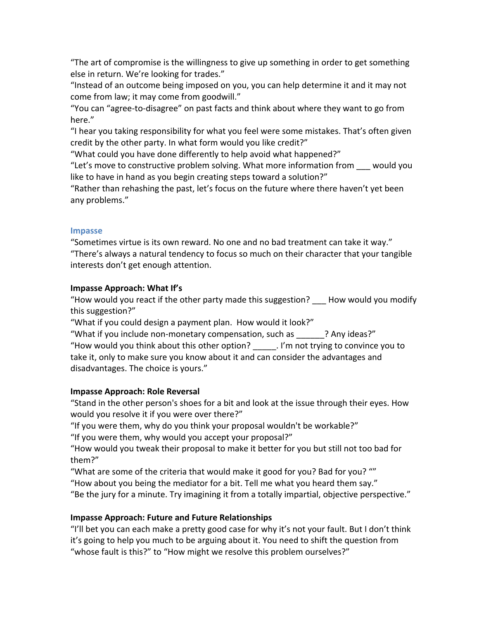"The art of compromise is the willingness to give up something in order to get something else in return. We're looking for trades."

"Instead of an outcome being imposed on you, you can help determine it and it may not come from law; it may come from goodwill."

"You can "agree-to-disagree" on past facts and think about where they want to go from here."

"I hear you taking responsibility for what you feel were some mistakes. That's often given credit by the other party. In what form would you like credit?"

"What could you have done differently to help avoid what happened?"

"Let's move to constructive problem solving. What more information from would you like to have in hand as you begin creating steps toward a solution?"

"Rather than rehashing the past, let's focus on the future where there haven't yet been any problems."

#### **Impasse**

"Sometimes virtue is its own reward. No one and no bad treatment can take it way." "There's always a natural tendency to focus so much on their character that your tangible interests don't get enough attention.

### **Impasse Approach: What If's**

"How would you react if the other party made this suggestion? How would you modify this suggestion?"

"What if you could design a payment plan. How would it look?"

"What if you include non-monetary compensation, such as  $\qquad$ ? Any ideas?"

"How would you think about this other option?  $\blacksquare$  . I'm not trying to convince you to take it, only to make sure you know about it and can consider the advantages and disadvantages. The choice is yours."

## **Impasse Approach: Role Reversal**

"Stand in the other person's shoes for a bit and look at the issue through their eyes. How would you resolve it if you were over there?"

"If you were them, why do you think your proposal wouldn't be workable?"

"If you were them, why would you accept your proposal?"

"How would you tweak their proposal to make it better for you but still not too bad for them?"

"What are some of the criteria that would make it good for you? Bad for you? ""

"How about you being the mediator for a bit. Tell me what you heard them say."

"Be the jury for a minute. Try imagining it from a totally impartial, objective perspective."

## **Impasse Approach: Future and Future Relationships**

"I'll bet you can each make a pretty good case for why it's not your fault. But I don't think it's going to help you much to be arguing about it. You need to shift the question from "whose fault is this?" to "How might we resolve this problem ourselves?"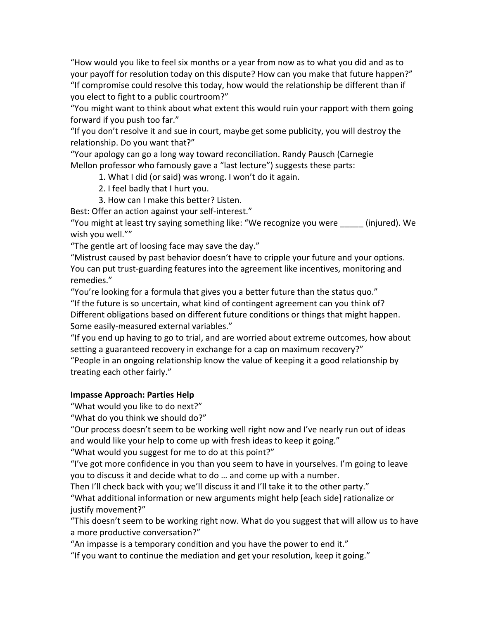"How would you like to feel six months or a year from now as to what you did and as to your payoff for resolution today on this dispute? How can you make that future happen?" "If compromise could resolve this today, how would the relationship be different than if you elect to fight to a public courtroom?"

"You might want to think about what extent this would ruin your rapport with them going forward if you push too far."

"If you don't resolve it and sue in court, maybe get some publicity, you will destroy the relationship. Do you want that?"

"Your apology can go a long way toward reconciliation. Randy Pausch (Carnegie Mellon professor who famously gave a "last lecture") suggests these parts:

1. What I did (or said) was wrong. I won't do it again.

2. I feel badly that I hurt you.

3. How can I make this better? Listen.

Best: Offer an action against your self-interest."

"You might at least try saying something like: "We recognize you were \_\_\_\_\_ (injured). We wish you well.""

"The gentle art of loosing face may save the day."

"Mistrust caused by past behavior doesn't have to cripple your future and your options. You can put trust-guarding features into the agreement like incentives, monitoring and remedies."

"You're looking for a formula that gives you a better future than the status quo." "If the future is so uncertain, what kind of contingent agreement can you think of? Different obligations based on different future conditions or things that might happen. Some easily-measured external variables."

"If you end up having to go to trial, and are worried about extreme outcomes, how about setting a guaranteed recovery in exchange for a cap on maximum recovery?"

"People in an ongoing relationship know the value of keeping it a good relationship by treating each other fairly."

## **Impasse Approach: Parties Help**

"What would you like to do next?"

"What do you think we should do?"

"Our process doesn't seem to be working well right now and I've nearly run out of ideas and would like your help to come up with fresh ideas to keep it going."

"What would you suggest for me to do at this point?"

"I've got more confidence in you than you seem to have in yourselves. I'm going to leave you to discuss it and decide what to do ... and come up with a number.

Then I'll check back with you; we'll discuss it and I'll take it to the other party."

"What additional information or new arguments might help [each side] rationalize or justify movement?"

"This doesn't seem to be working right now. What do you suggest that will allow us to have a more productive conversation?"

"An impasse is a temporary condition and you have the power to end it."

"If you want to continue the mediation and get your resolution, keep it going."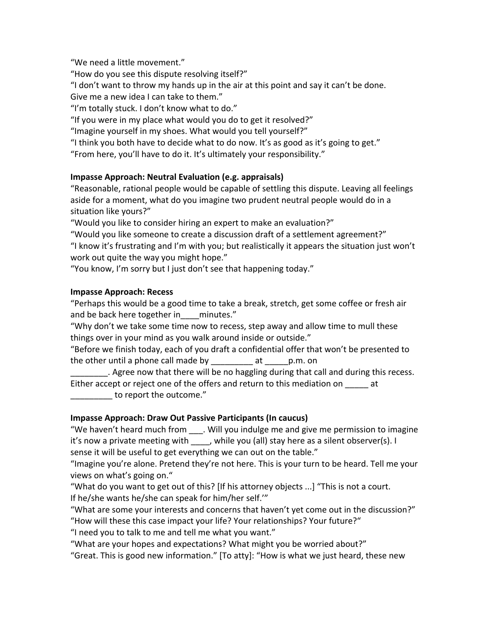"We need a little movement."

"How do you see this dispute resolving itself?"

"I don't want to throw my hands up in the air at this point and say it can't be done.

Give me a new idea I can take to them."

"I'm totally stuck. I don't know what to do."

"If you were in my place what would you do to get it resolved?"

"Imagine yourself in my shoes. What would you tell yourself?"

"I think you both have to decide what to do now. It's as good as it's going to get."

"From here, you'll have to do it. It's ultimately your responsibility."

## **Impasse Approach: Neutral Evaluation (e.g. appraisals)**

"Reasonable, rational people would be capable of settling this dispute. Leaving all feelings aside for a moment, what do you imagine two prudent neutral people would do in a situation like yours?"

"Would you like to consider hiring an expert to make an evaluation?"

"Would you like someone to create a discussion draft of a settlement agreement?" "I know it's frustrating and I'm with you; but realistically it appears the situation just won't work out quite the way you might hope."

"You know, I'm sorry but I just don't see that happening today."

## **Impasse Approach: Recess**

"Perhaps this would be a good time to take a break, stretch, get some coffee or fresh air and be back here together in minutes."

"Why don't we take some time now to recess, step away and allow time to mull these things over in your mind as you walk around inside or outside."

"Before we finish today, each of you draft a confidential offer that won't be presented to the other until a phone call made by exactled at example p.m. on

. Agree now that there will be no haggling during that call and during this recess. Either accept or reject one of the offers and return to this mediation on at to report the outcome."

# **Impasse Approach: Draw Out Passive Participants (In caucus)**

"We haven't heard much from \_\_\_\_. Will you indulge me and give me permission to imagine it's now a private meeting with \_\_\_\_, while you (all) stay here as a silent observer(s). I

sense it will be useful to get everything we can out on the table."

"Imagine you're alone. Pretend they're not here. This is your turn to be heard. Tell me your views on what's going on."

"What do you want to get out of this? [If his attorney objects ...] "This is not a court. If he/she wants he/she can speak for him/her self."

"What are some your interests and concerns that haven't yet come out in the discussion?" "How will these this case impact your life? Your relationships? Your future?"

"I need you to talk to me and tell me what you want."

"What are your hopes and expectations? What might you be worried about?"

"Great. This is good new information." [To atty]: "How is what we just heard, these new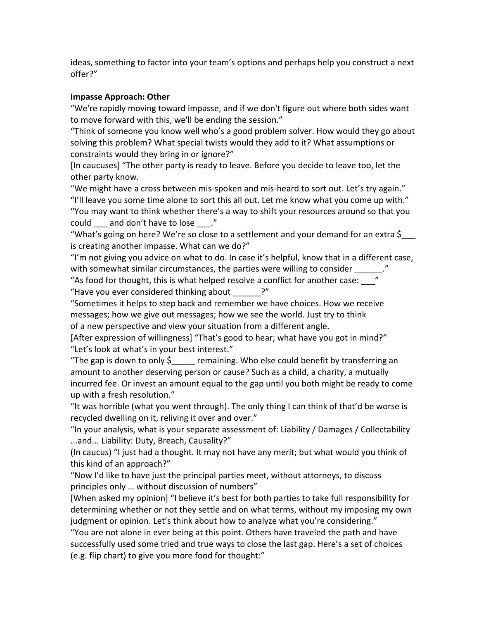ideas, something to factor into your team's options and perhaps help you construct a next offer?"

### **Impasse Approach: Other**

"We're rapidly moving toward impasse, and if we don't figure out where both sides want to move forward with this, we'll be ending the session."

"Think of someone you know well who's a good problem solver. How would they go about solving this problem? What special twists would they add to it? What assumptions or constraints would they bring in or ignore?"

[In caucuses] "The other party is ready to leave. Before you decide to leave too, let the other party know.

"We might have a cross between mis-spoken and mis-heard to sort out. Let's try again." "I'll leave you some time alone to sort this all out. Let me know what you come up with." "You may want to think whether there's a way to shift your resources around so that you could and don't have to lose ."

"What's going on here? We're so close to a settlement and your demand for an extra \$ is creating another impasse. What can we do?"

"I'm not giving you advice on what to do. In case it's helpful, know that in a different case, with somewhat similar circumstances, the parties were willing to consider

"As food for thought, this is what helped resolve a conflict for another case: "Have you ever considered thinking about ?"

"Sometimes it helps to step back and remember we have choices. How we receive messages; how we give out messages; how we see the world. Just try to think of a new perspective and view your situation from a different angle.

[After expression of willingness] "That's good to hear; what have you got in mind?" "Let's look at what's in your best interest."

"The gap is down to only  $\sin \theta$  remaining. Who else could benefit by transferring an amount to another deserving person or cause? Such as a child, a charity, a mutually incurred fee. Or invest an amount equal to the gap until you both might be ready to come up with a fresh resolution."

"It was horrible (what you went through). The only thing I can think of that'd be worse is recycled dwelling on it, reliving it over and over."

"In your analysis, what is your separate assessment of: Liability / Damages / Collectability ...and... Liability: Duty, Breach, Causality?"

(In caucus) "I just had a thought. It may not have any merit; but what would you think of this kind of an approach?"

"Now I'd like to have just the principal parties meet, without attorneys, to discuss principles only ... without discussion of numbers"

[When asked my opinion] "I believe it's best for both parties to take full responsibility for determining whether or not they settle and on what terms, without my imposing my own judgment or opinion. Let's think about how to analyze what you're considering."

"You are not alone in ever being at this point. Others have traveled the path and have successfully used some tried and true ways to close the last gap. Here's a set of choices (e.g. flip chart) to give you more food for thought:"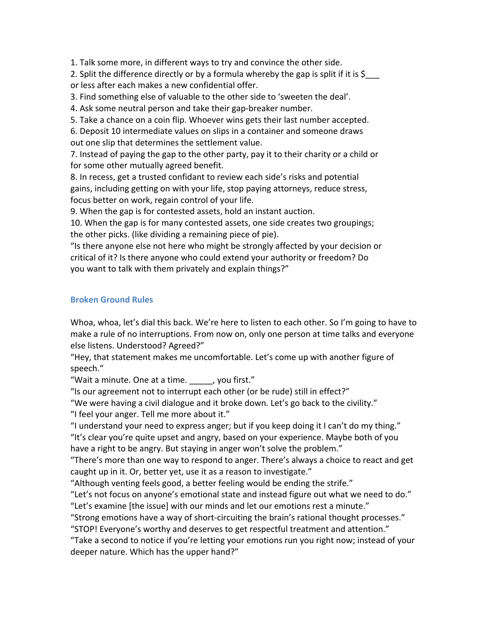1. Talk some more, in different ways to try and convince the other side.

2. Split the difference directly or by a formula whereby the gap is split if it is  $$$ or less after each makes a new confidential offer.

3. Find something else of valuable to the other side to 'sweeten the deal'.

4. Ask some neutral person and take their gap-breaker number.

5. Take a chance on a coin flip. Whoever wins gets their last number accepted.

6. Deposit 10 intermediate values on slips in a container and someone draws out one slip that determines the settlement value.

7. Instead of paying the gap to the other party, pay it to their charity or a child or for some other mutually agreed benefit.

8. In recess, get a trusted confidant to review each side's risks and potential gains, including getting on with your life, stop paying attorneys, reduce stress, focus better on work, regain control of your life.

9. When the gap is for contested assets, hold an instant auction.

10. When the gap is for many contested assets, one side creates two groupings; the other picks. (like dividing a remaining piece of pie).

"Is there anyone else not here who might be strongly affected by your decision or critical of it? Is there anyone who could extend your authority or freedom? Do you want to talk with them privately and explain things?"

# **Broken Ground Rules**

Whoa, whoa, let's dial this back. We're here to listen to each other. So I'm going to have to make a rule of no interruptions. From now on, only one person at time talks and everyone else listens. Understood? Agreed?"

"Hey, that statement makes me uncomfortable. Let's come up with another figure of speech."

"Wait a minute. One at a time.  $\qquad \qquad$  , you first."

"Is our agreement not to interrupt each other (or be rude) still in effect?"

"We were having a civil dialogue and it broke down. Let's go back to the civility."

"I feel your anger. Tell me more about it."

"I understand your need to express anger; but if you keep doing it I can't do my thing." "It's clear you're quite upset and angry, based on your experience. Maybe both of you have a right to be angry. But staying in anger won't solve the problem."

"There's more than one way to respond to anger. There's always a choice to react and get caught up in it. Or, better yet, use it as a reason to investigate."

"Although venting feels good, a better feeling would be ending the strife."

"Let's not focus on anyone's emotional state and instead figure out what we need to do." "Let's examine [the issue] with our minds and let our emotions rest a minute."

"Strong emotions have a way of short-circuiting the brain's rational thought processes."

"STOP! Everyone's worthy and deserves to get respectful treatment and attention."

"Take a second to notice if you're letting your emotions run you right now; instead of your deeper nature. Which has the upper hand?"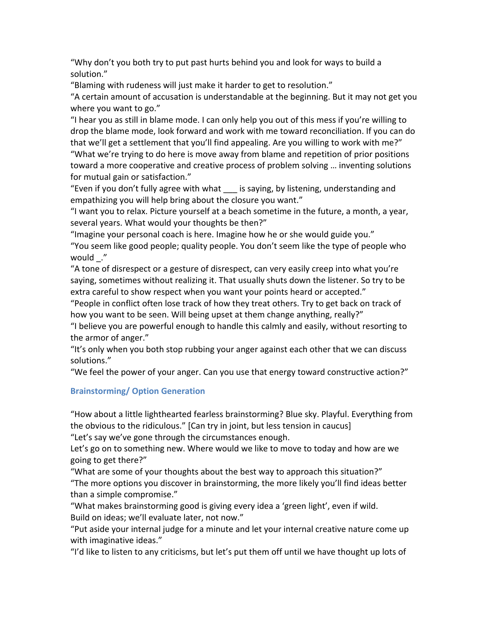"Why don't you both try to put past hurts behind you and look for ways to build a solution."

"Blaming with rudeness will just make it harder to get to resolution."

"A certain amount of accusation is understandable at the beginning. But it may not get you where you want to go."

"I hear you as still in blame mode. I can only help you out of this mess if you're willing to drop the blame mode, look forward and work with me toward reconciliation. If you can do that we'll get a settlement that you'll find appealing. Are you willing to work with me?" "What we're trying to do here is move away from blame and repetition of prior positions toward a more cooperative and creative process of problem solving ... inventing solutions for mutual gain or satisfaction."

"Even if you don't fully agree with what is saying, by listening, understanding and empathizing you will help bring about the closure you want."

"I want you to relax. Picture yourself at a beach sometime in the future, a month, a year, several years. What would your thoughts be then?"

"Imagine your personal coach is here. Imagine how he or she would guide you." "You seem like good people; quality people. You don't seem like the type of people who would!\_."

"A tone of disrespect or a gesture of disrespect, can very easily creep into what you're saying, sometimes without realizing it. That usually shuts down the listener. So try to be extra careful to show respect when you want your points heard or accepted."

"People in conflict often lose track of how they treat others. Try to get back on track of how you want to be seen. Will being upset at them change anything, really?"

"I believe you are powerful enough to handle this calmly and easily, without resorting to the armor of anger."

"It's only when you both stop rubbing your anger against each other that we can discuss solutions."

"We feel the power of your anger. Can you use that energy toward constructive action?"

## **Brainstorming/ Option Generation**

"How about a little lighthearted fearless brainstorming? Blue sky. Playful. Everything from the obvious to the ridiculous." [Can try in joint, but less tension in caucus]

"Let's say we've gone through the circumstances enough.

Let's go on to something new. Where would we like to move to today and how are we going to get there?"

"What are some of your thoughts about the best way to approach this situation?" "The more options you discover in brainstorming, the more likely you'll find ideas better than a simple compromise."

"What makes brainstorming good is giving every idea a 'green light', even if wild. Build on ideas; we'll evaluate later, not now."

"Put aside your internal judge for a minute and let your internal creative nature come up with imaginative ideas."

"I'd like to listen to any criticisms, but let's put them off until we have thought up lots of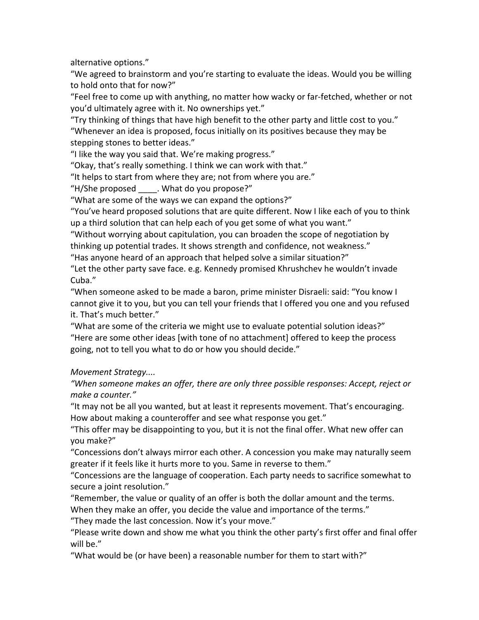alternative options."

"We agreed to brainstorm and you're starting to evaluate the ideas. Would you be willing to hold onto that for now?"

"Feel free to come up with anything, no matter how wacky or far-fetched, whether or not you'd ultimately agree with it. No ownerships yet."

"Try thinking of things that have high benefit to the other party and little cost to you."

"Whenever an idea is proposed, focus initially on its positives because they may be stepping stones to better ideas."

"I like the way you said that. We're making progress."

"Okay, that's really something. I think we can work with that."

"It helps to start from where they are; not from where you are."

"H/She proposed  $\blacksquare$  . What do you propose?"

"What are some of the ways we can expand the options?"

"You've heard proposed solutions that are quite different. Now I like each of you to think up a third solution that can help each of you get some of what you want."

"Without worrying about capitulation, you can broaden the scope of negotiation by thinking up potential trades. It shows strength and confidence, not weakness."

"Has anyone heard of an approach that helped solve a similar situation?"

"Let the other party save face. e.g. Kennedy promised Khrushchev he wouldn't invade Cuba."

"When someone asked to be made a baron, prime minister Disraeli: said: "You know I cannot give it to you, but you can tell your friends that I offered you one and you refused it. That's much better."

"What are some of the criteria we might use to evaluate potential solution ideas?" "Here are some other ideas [with tone of no attachment] offered to keep the process going, not to tell you what to do or how you should decide."

# *Movement Strategy....*

"When someone makes an offer, there are only three possible responses: Accept, reject or *make)a)counter."*

"It may not be all you wanted, but at least it represents movement. That's encouraging. How about making a counteroffer and see what response you get."

"This offer may be disappointing to you, but it is not the final offer. What new offer can you!make?"

"Concessions don't always mirror each other. A concession you make may naturally seem greater if it feels like it hurts more to you. Same in reverse to them."

"Concessions are the language of cooperation. Each party needs to sacrifice somewhat to secure a joint resolution."

"Remember, the value or quality of an offer is both the dollar amount and the terms.

When they make an offer, you decide the value and importance of the terms."

"They made the last concession. Now it's your move."

"Please write down and show me what you think the other party's first offer and final offer will be."

"What would be (or have been) a reasonable number for them to start with?"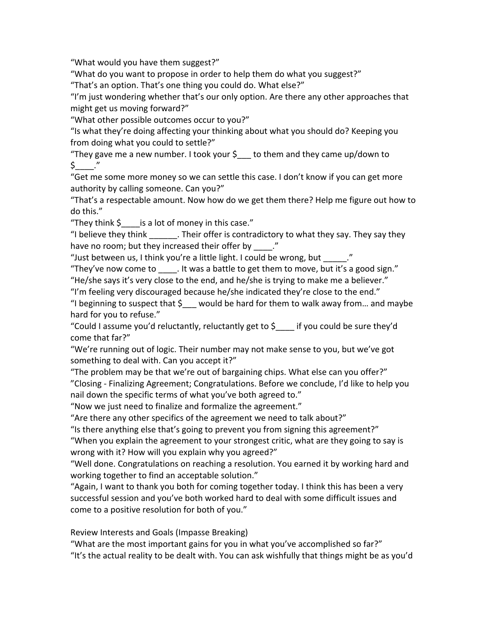"What would you have them suggest?"

"What do you want to propose in order to help them do what you suggest?"

"That's an option. That's one thing you could do. What else?"

"I'm just wondering whether that's our only option. Are there any other approaches that might get us moving forward?"

"What other possible outcomes occur to you?"

"Is what they're doing affecting your thinking about what you should do? Keeping you from doing what you could to settle?"

"They gave me a new number. I took your  $\frac{1}{2}$  to them and they came up/down to  $\zeta$  ."

"Get me some more money so we can settle this case. I don't know if you can get more authority by calling someone. Can you?"

"That's a respectable amount. Now how do we get them there? Help me figure out how to do this."

"They think  $\oint$  is a lot of money in this case."

"I believe they think  $\blacksquare$ . Their offer is contradictory to what they say. They say they have no room; but they increased their offer by \_\_\_\_."

"Just between us, I think you're a little light. I could be wrong, but  $\blacksquare$ ."

"They've now come to  $\blacksquare$ . It was a battle to get them to move, but it's a good sign."

"He/she says it's very close to the end, and he/she is trying to make me a believer."

"I'm feeling very discouraged because he/she indicated they're close to the end."

"I beginning to suspect that  $\sin$  would be hard for them to walk away from... and maybe hard for you to refuse."

"Could I assume you'd reluctantly, reluctantly get to  $\oint$  if you could be sure they'd come that far?"

"We're running out of logic. Their number may not make sense to you, but we've got something to deal with. Can you accept it?"

"The problem may be that we're out of bargaining chips. What else can you offer?" "Closing - Finalizing Agreement; Congratulations. Before we conclude, I'd like to help you nail down the specific terms of what you've both agreed to."

"Now we just need to finalize and formalize the agreement."

"Are there any other specifics of the agreement we need to talk about?"

"Is there anything else that's going to prevent you from signing this agreement?"

"When you explain the agreement to your strongest critic, what are they going to say is wrong with it? How will you explain why you agreed?"

"Well done. Congratulations on reaching a resolution. You earned it by working hard and working together to find an acceptable solution."

"Again, I want to thank you both for coming together today. I think this has been a very successful session and you've both worked hard to deal with some difficult issues and come to a positive resolution for both of you."

Review Interests and Goals (Impasse Breaking)

"What are the most important gains for you in what you've accomplished so far?" "It's the actual reality to be dealt with. You can ask wishfully that things might be as you'd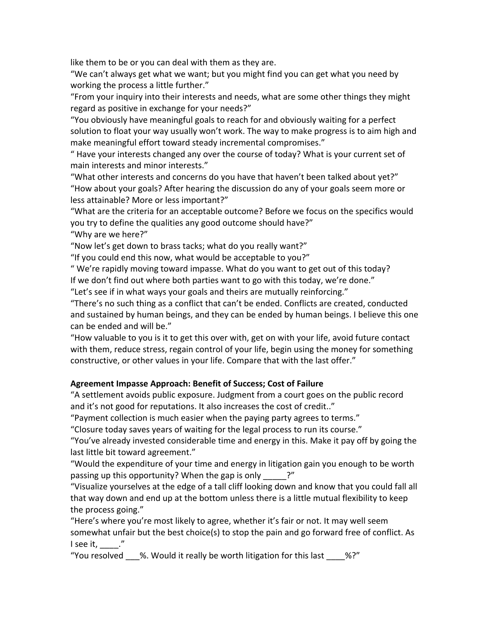like them to be or you can deal with them as they are.

"We can't always get what we want; but you might find you can get what you need by working the process a little further."

"From your inquiry into their interests and needs, what are some other things they might regard as positive in exchange for your needs?"

"You obviously have meaningful goals to reach for and obviously waiting for a perfect solution to float your way usually won't work. The way to make progress is to aim high and make meaningful effort toward steady incremental compromises."

" Have your interests changed any over the course of today? What is your current set of main interests and minor interests."

"What other interests and concerns do you have that haven't been talked about yet?" "How about your goals? After hearing the discussion do any of your goals seem more or less attainable? More or less important?"

"What are the criteria for an acceptable outcome? Before we focus on the specifics would you try to define the qualities any good outcome should have?"

"Why are we here?"

"Now let's get down to brass tacks; what do you really want?"

"If you could end this now, what would be acceptable to you?"

" We're rapidly moving toward impasse. What do you want to get out of this today?

If we don't find out where both parties want to go with this today, we're done."

"Let's see if in what ways your goals and theirs are mutually reinforcing."

"There's no such thing as a conflict that can't be ended. Conflicts are created, conducted and sustained by human beings, and they can be ended by human beings. I believe this one can be ended and will be."

"How valuable to you is it to get this over with, get on with your life, avoid future contact with them, reduce stress, regain control of your life, begin using the money for something constructive, or other values in your life. Compare that with the last offer."

## Agreement Impasse Approach: Benefit of Success; Cost of Failure

"A settlement avoids public exposure. Judgment from a court goes on the public record and it's not good for reputations. It also increases the cost of credit.."

"Payment collection is much easier when the paying party agrees to terms."

"Closure today saves years of waiting for the legal process to run its course."

"You've already invested considerable time and energy in this. Make it pay off by going the last little bit toward agreement."

"Would the expenditure of your time and energy in litigation gain you enough to be worth passing up this opportunity? When the gap is only  $\qquad$ ?"

"Visualize yourselves at the edge of a tall cliff looking down and know that you could fall all that way down and end up at the bottom unless there is a little mutual flexibility to keep the process going."

"Here's where you're most likely to agree, whether it's fair or not. It may well seem somewhat unfair but the best choice(s) to stop the pain and go forward free of conflict. As  $l$  see it,  $\blacksquare$ ."

"You resolved %. Would it really be worth litigation for this last %?"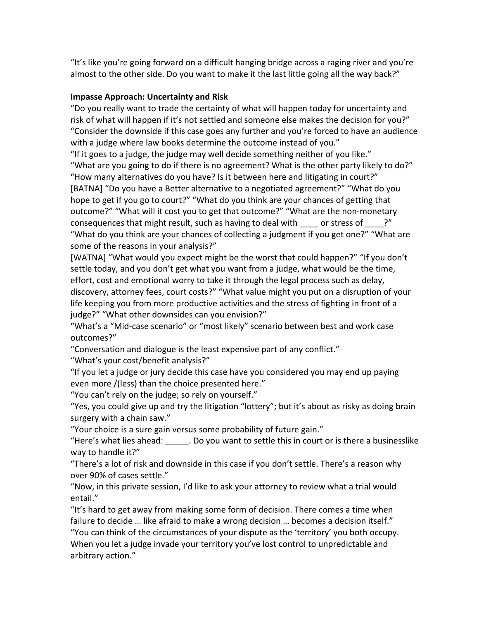"It's like you're going forward on a difficult hanging bridge across a raging river and you're almost to the other side. Do you want to make it the last little going all the way back?"

## **Impasse Approach: Uncertainty and Risk**

"Do you really want to trade the certainty of what will happen today for uncertainty and risk of what will happen if it's not settled and someone else makes the decision for you?" "Consider the downside if this case goes any further and you're forced to have an audience with a judge where law books determine the outcome instead of you."

"If it goes to a judge, the judge may well decide something neither of you like." "What are you going to do if there is no agreement? What is the other party likely to do?" "How many alternatives do you have? Is it between here and litigating in court?" [BATNA] "Do you have a Better alternative to a negotiated agreement?" "What do you hope to get if you go to court?" "What do you think are your chances of getting that outcome?" "What will it cost you to get that outcome?" "What are the non-monetary consequences that might result, such as having to deal with  $\qquad$  or stress of  $\qquad$ ?" "What do you think are your chances of collecting a judgment if you get one?" "What are some of the reasons in your analysis?"

[WATNA] "What would you expect might be the worst that could happen?" "If you don't settle today, and you don't get what you want from a judge, what would be the time, effort, cost and emotional worry to take it through the legal process such as delay, discovery, attorney fees, court costs?" "What value might you put on a disruption of your life keeping you from more productive activities and the stress of fighting in front of a judge?" "What other downsides can you envision?"

"What's a "Mid-case scenario" or "most likely" scenario between best and work case outcomes?"

"Conversation and dialogue is the least expensive part of any conflict."

"What's your cost/benefit analysis?"

"If you let a judge or jury decide this case have you considered you may end up paying even more /(less) than the choice presented here."

"You can't rely on the judge; so rely on yourself."

"Yes, you could give up and try the litigation "lottery"; but it's about as risky as doing brain surgery with a chain saw."

"Your choice is a sure gain versus some probability of future gain."

"Here's what lies ahead: . . . Do you want to settle this in court or is there a businesslike way to handle it?"

"There's a lot of risk and downside in this case if you don't settle. There's a reason why over 90% of cases settle."

"Now, in this private session, I'd like to ask your attorney to review what a trial would entail."

"It's hard to get away from making some form of decision. There comes a time when failure to decide ... like afraid to make a wrong decision ... becomes a decision itself." "You can think of the circumstances of your dispute as the 'territory' you both occupy. When you let a judge invade your territory you've lost control to unpredictable and arbitrary action."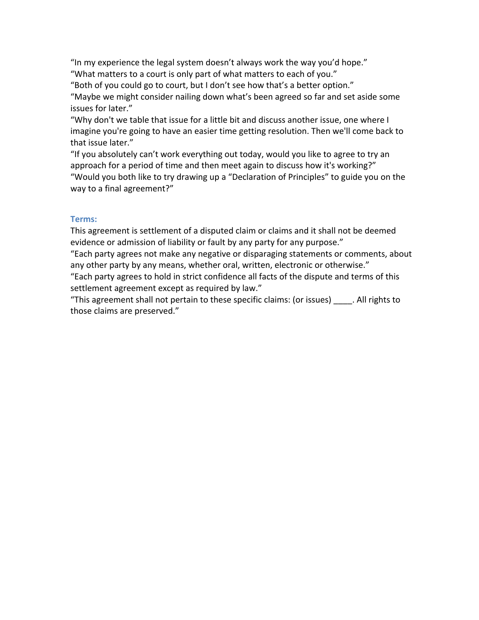"In my experience the legal system doesn't always work the way you'd hope." "What matters to a court is only part of what matters to each of you."

"Both of you could go to court, but I don't see how that's a better option."

"Maybe we might consider nailing down what's been agreed so far and set aside some issues for later."

"Why don't we table that issue for a little bit and discuss another issue, one where I imagine you're going to have an easier time getting resolution. Then we'll come back to that issue later."

"If you absolutely can't work everything out today, would you like to agree to try an approach for a period of time and then meet again to discuss how it's working?" "Would you both like to try drawing up a "Declaration of Principles" to guide you on the way to a final agreement?"

## **Terms:&**

This agreement is settlement of a disputed claim or claims and it shall not be deemed evidence or admission of liability or fault by any party for any purpose."

"Each party agrees not make any negative or disparaging statements or comments, about any other party by any means, whether oral, written, electronic or otherwise."

"Each party agrees to hold in strict confidence all facts of the dispute and terms of this settlement agreement except as required by law."

"This agreement shall not pertain to these specific claims: (or issues) . All rights to those claims are preserved."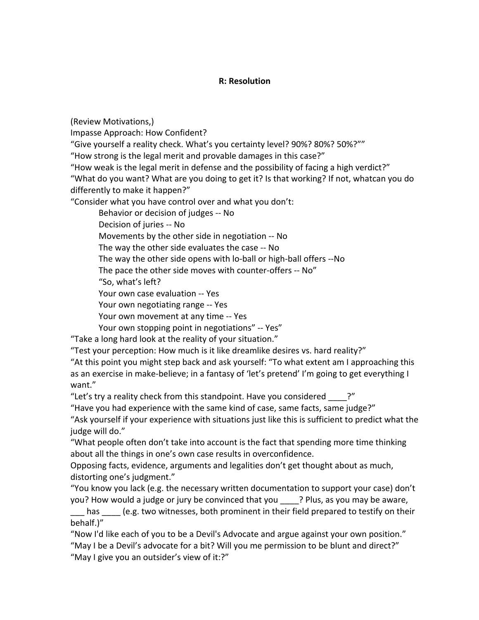### **R: Resolution**

(Review!Motivations,)

Impasse Approach: How Confident?

"Give yourself a reality check. What's you certainty level? 90%? 80%? 50%?""

"How strong is the legal merit and provable damages in this case?"

"How weak is the legal merit in defense and the possibility of facing a high verdict?"

"What do you want? What are you doing to get it? Is that working? If not, whatcan you do differently to make it happen?"

"Consider what you have control over and what you don't:

Behavior or decision of judges -- No

Decision of juries -- No

Movements by the other side in negotiation -- No

The way the other side evaluates the case -- No

The way the other side opens with lo-ball or high-ball offers --No

The pace the other side moves with counter-offers -- No"

"So, what's left?

Your own case evaluation -- Yes

Your own negotiating range -- Yes

Your own movement at any time -- Yes

Your own stopping point in negotiations" -- Yes"

"Take a long hard look at the reality of your situation."

"Test your perception: How much is it like dreamlike desires vs. hard reality?"

"At this point you might step back and ask yourself: "To what extent am I approaching this as an exercise in make-believe; in a fantasy of 'let's pretend' I'm going to get everything I want."

"Let's try a reality check from this standpoint. Have you considered  $\cdot$ ?"

"Have you had experience with the same kind of case, same facts, same judge?"

"Ask yourself if your experience with situations just like this is sufficient to predict what the judge will do."

"What people often don't take into account is the fact that spending more time thinking about all the things in one's own case results in overconfidence.

Opposing facts, evidence, arguments and legalities don't get thought about as much, distorting one's judgment."

"You know you lack (e.g. the necessary written documentation to support your case) don't you? How would a judge or jury be convinced that you ? Plus, as you may be aware,

has le.g. two witnesses, both prominent in their field prepared to testify on their behalf.)"

"Now I'd like each of you to be a Devil's Advocate and argue against your own position." "May I be a Devil's advocate for a bit? Will you me permission to be blunt and direct?" "May I give you an outsider's view of it:?"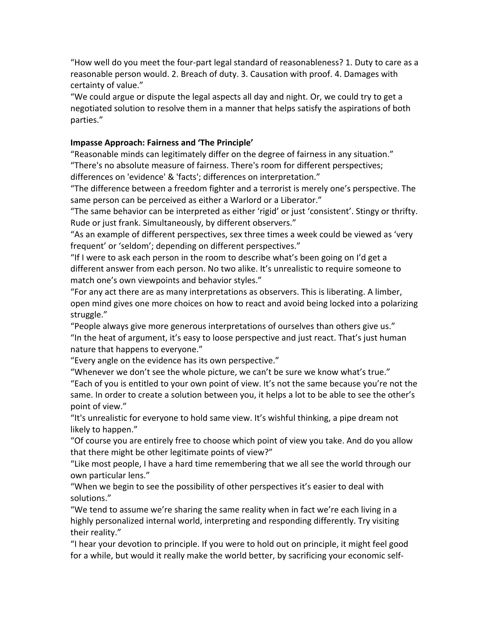"How well do you meet the four-part legal standard of reasonableness? 1. Duty to care as a reasonable person would. 2. Breach of duty. 3. Causation with proof. 4. Damages with certainty of value."

"We could argue or dispute the legal aspects all day and night. Or, we could try to get a negotiated solution to resolve them in a manner that helps satisfy the aspirations of both parties."

### Impasse Approach: Fairness and 'The Principle'

"Reasonable minds can legitimately differ on the degree of fairness in any situation." "There's no absolute measure of fairness. There's room for different perspectives; differences on 'evidence' & 'facts'; differences on interpretation."

"The difference between a freedom fighter and a terrorist is merely one's perspective. The same person can be perceived as either a Warlord or a Liberator."

"The same behavior can be interpreted as either 'rigid' or just 'consistent'. Stingy or thrifty. Rude or just frank. Simultaneously, by different observers."

"As an example of different perspectives, sex three times a week could be viewed as 'very frequent' or 'seldom'; depending on different perspectives."

"If I were to ask each person in the room to describe what's been going on I'd get a different answer from each person. No two alike. It's unrealistic to require someone to match one's own viewpoints and behavior styles."

"For any act there are as many interpretations as observers. This is liberating. A limber, open mind gives one more choices on how to react and avoid being locked into a polarizing struggle."

"People always give more generous interpretations of ourselves than others give us." "In the heat of argument, it's easy to loose perspective and just react. That's just human nature that happens to everyone."

"Every angle on the evidence has its own perspective."

"Whenever we don't see the whole picture, we can't be sure we know what's true." "Each of you is entitled to your own point of view. It's not the same because you're not the same. In order to create a solution between you, it helps a lot to be able to see the other's point of view."

"It's unrealistic for everyone to hold same view. It's wishful thinking, a pipe dream not likely to happen."

"Of course you are entirely free to choose which point of view you take. And do you allow that there might be other legitimate points of view?"

"Like most people, I have a hard time remembering that we all see the world through our own particular lens."

"When we begin to see the possibility of other perspectives it's easier to deal with solutions."

"We tend to assume we're sharing the same reality when in fact we're each living in a highly personalized internal world, interpreting and responding differently. Try visiting their reality."

"I hear your devotion to principle. If you were to hold out on principle, it might feel good for a while, but would it really make the world better, by sacrificing your economic self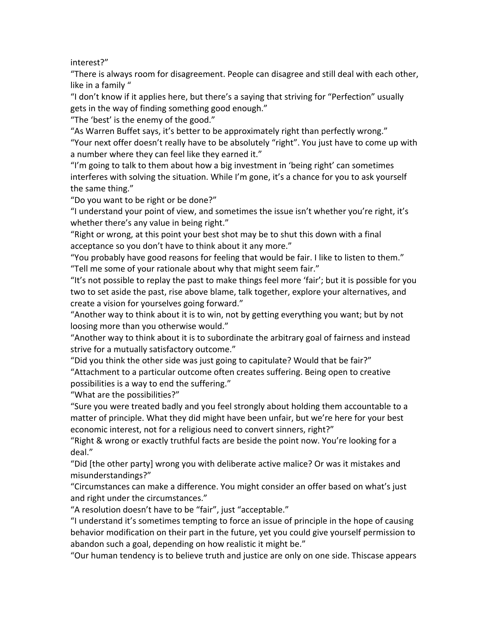interest?"

"There is always room for disagreement. People can disagree and still deal with each other, like in a family "

"I don't know if it applies here, but there's a saying that striving for "Perfection" usually gets in the way of finding something good enough."

"The 'best' is the enemy of the good."

"As Warren Buffet says, it's better to be approximately right than perfectly wrong." "Your next offer doesn't really have to be absolutely "right". You just have to come up with a number where they can feel like they earned it."

"I'm going to talk to them about how a big investment in 'being right' can sometimes interferes with solving the situation. While I'm gone, it's a chance for you to ask yourself the same thing."

"Do you want to be right or be done?"

"I understand your point of view, and sometimes the issue isn't whether you're right, it's whether there's any value in being right."

"Right or wrong, at this point your best shot may be to shut this down with a final acceptance so you don't have to think about it any more."

"You probably have good reasons for feeling that would be fair. I like to listen to them." "Tell me some of your rationale about why that might seem fair."

"It's not possible to replay the past to make things feel more 'fair'; but it is possible for you two to set aside the past, rise above blame, talk together, explore your alternatives, and create a vision for yourselves going forward."

"Another way to think about it is to win, not by getting everything you want; but by not loosing more than you otherwise would."

"Another way to think about it is to subordinate the arbitrary goal of fairness and instead strive for a mutually satisfactory outcome."

"Did you think the other side was just going to capitulate? Would that be fair?" "Attachment to a particular outcome often creates suffering. Being open to creative possibilities is a way to end the suffering."

"What are the possibilities?"

"Sure you were treated badly and you feel strongly about holding them accountable to a matter of principle. What they did might have been unfair, but we're here for your best economic interest, not for a religious need to convert sinners, right?"

"Right & wrong or exactly truthful facts are beside the point now. You're looking for a deal."

"Did [the other party] wrong you with deliberate active malice? Or was it mistakes and misunderstandings?"

"Circumstances can make a difference. You might consider an offer based on what's just and right under the circumstances."

"A resolution doesn't have to be "fair", just "acceptable."

"I understand it's sometimes tempting to force an issue of principle in the hope of causing behavior modification on their part in the future, yet you could give yourself permission to abandon such a goal, depending on how realistic it might be."

"Our human tendency is to believe truth and justice are only on one side. Thiscase appears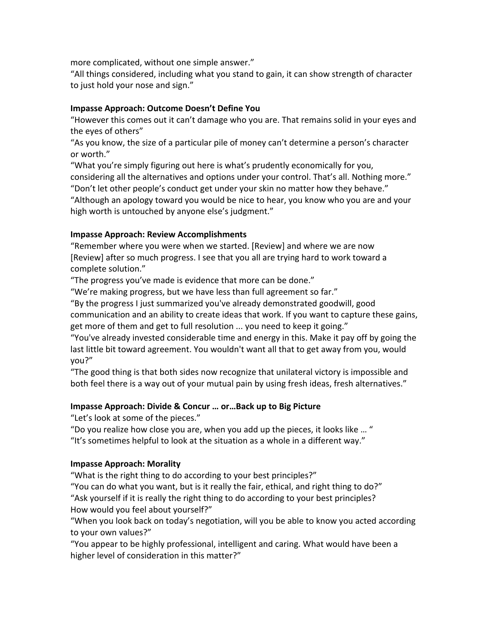more complicated, without one simple answer."

"All things considered, including what you stand to gain, it can show strength of character to just hold your nose and sign."

### **Impasse Approach: Outcome Doesn't Define You**

"However this comes out it can't damage who you are. That remains solid in your eyes and the eyes of others"

"As you know, the size of a particular pile of money can't determine a person's character or worth."

"What you're simply figuring out here is what's prudently economically for you,

considering all the alternatives and options under your control. That's all. Nothing more." "Don't let other people's conduct get under your skin no matter how they behave."

"Although an apology toward you would be nice to hear, you know who you are and your high worth is untouched by anyone else's judgment."

## **Impasse Approach: Review Accomplishments**

"Remember where you were when we started. [Review] and where we are now [Review] after so much progress. I see that you all are trying hard to work toward a complete solution."

"The progress you've made is evidence that more can be done."

"We're making progress, but we have less than full agreement so far."

"By the progress I just summarized you've already demonstrated goodwill, good communication and an ability to create ideas that work. If you want to capture these gains, get more of them and get to full resolution ... you need to keep it going."

"You've already invested considerable time and energy in this. Make it pay off by going the last little bit toward agreement. You wouldn't want all that to get away from you, would you?"

"The good thing is that both sides now recognize that unilateral victory is impossible and both feel there is a way out of your mutual pain by using fresh ideas, fresh alternatives."

## **Impasse Approach: Divide & Concur ... or...Back up to Big Picture**

"Let's look at some of the pieces."

"Do you realize how close you are, when you add up the pieces, it looks like ... " "It's sometimes helpful to look at the situation as a whole in a different way."

## **Impasse Approach: Morality**

"What is the right thing to do according to your best principles?"

"You can do what you want, but is it really the fair, ethical, and right thing to do?" "Ask yourself if it is really the right thing to do according to your best principles? How would you feel about yourself?"

"When you look back on today's negotiation, will you be able to know you acted according to your own values?"

"You appear to be highly professional, intelligent and caring. What would have been a higher level of consideration in this matter?"